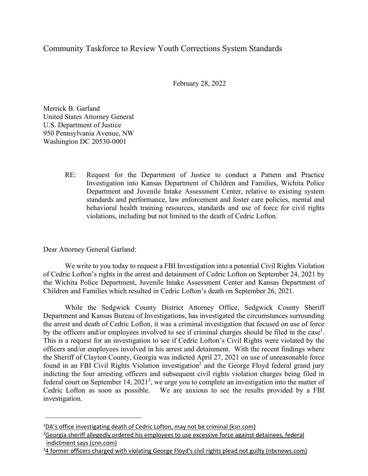## Community Taskforce to Review Youth Corrections System Standards

February 28, 2022

Merrick B. Garland United States Attorney General U.S. Department of Justice 950 Pennsylvania Avenue, NW Washington DC 20530-0001

> RE: Request for the Department of Justice to conduct a Pattern and Practice Investigation into Kansas Department of Children and Families, Wichita Police Department and Juvenile Intake Assessment Center, relative to existing system standards and performance, law enforcement and foster care policies, mental and behavioral health training resources, standards and use of force for civil rights violations, including but not limited to the death of Cedric Lofton.

Dear Attorney General Garland:

We write to you today to request a FBI Investigation into a potential Civil Rights Violation of Cedric Lofton's rights in the arrest and detainment of Cedric Lofton on September 24, 2021 by the Wichita Police Department, Juvenile Intake Assessment Center and Kansas Department of Children and Families which resulted in Cedric Lofton's death on September 26, 2021.

While the Sedgwick County District Attorney Office, Sedgwick County Sheriff Department and Kansas Bureau of Investigations, has investigated the circumstances surrounding the arrest and death of Cedric Lofton, it was a criminal investigation that focused on use of force by the officers and/or employees involved to see if criminal charges should be filed in the case<sup>1</sup>. This is a request for an investigation to see if Cedric Lofton's Civil Rights were violated by the officers and/or employees involved in his arrest and detainment. With the recent findings where the Sheriff of Clayton County, Georgia was indicted April 27, 2021 on use of unreasonable force found in an FBI Civil Rights Violation investigation<sup>2</sup> and the George Floyd federal grand jury indicting the four arresting officers and subsequent civil rights violation charges being filed in federal court on September 14,  $2021<sup>3</sup>$ , we urge you to complete an investigation into the matter of Cedric Lofton as soon as possible. We are anxious to see the results provided by a FBI investigation.

<sup>&</sup>lt;sup>1</sup>DA's office investigating death of Cedric Lofton, may not be criminal (ksn.com)

<sup>&</sup>lt;sup>2</sup>Georgia sheriff allegedly ordered his employees to use excessive force against detainees, federal indictment says (cnn.com)

<sup>&</sup>lt;sup>3</sup>4 former officers charged with violating George Floyd's civil rights plead not guilty (nbcnews.com)